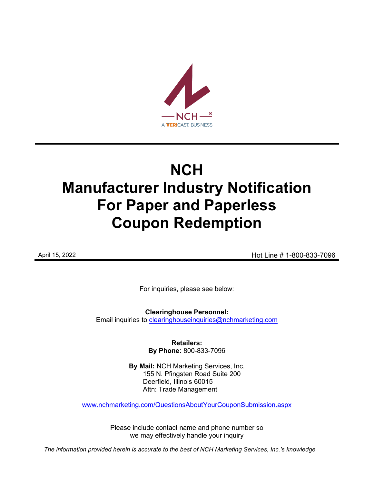

# **NCH Manufacturer Industry Notification For Paper and Paperless Coupon Redemption**

April 15, 2022 **April 15, 2022 Hot Line # 1-800-833-7096** 

For inquiries, please see below:

**Clearinghouse Personnel:**  Email inquiries to [clearinghouseinquiries@nchmarketing.com](mailto:clearinghouseinquiries@nchmarketing.com)

> **Retailers: By Phone:** 800-833-7096

**By Mail:** NCH Marketing Services, Inc. 155 N. Pfingsten Road Suite 200 Deerfield, Illinois 60015 Attn: Trade Management

[www.nchmarketing.com/QuestionsAboutYourCouponSubmission.aspx](http://www.nchmarketing.com/QuestionsAboutYourCouponSubmission.aspx)

Please include contact name and phone number so we may effectively handle your inquiry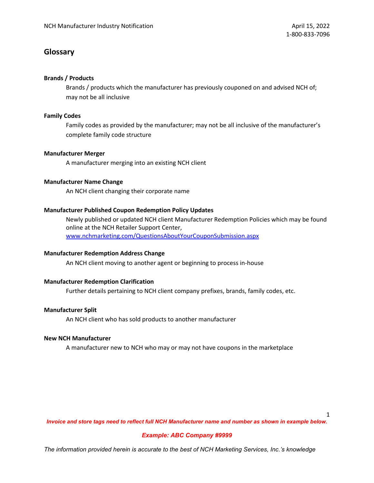# **Glossary**

## **Brands / Products**

Brands / products which the manufacturer has previously couponed on and advised NCH of; may not be all inclusive

## **Family Codes**

Family codes as provided by the manufacturer; may not be all inclusive of the manufacturer's complete family code structure

## **Manufacturer Merger**

A manufacturer merging into an existing NCH client

## **Manufacturer Name Change**

An NCH client changing their corporate name

## **Manufacturer Published Coupon Redemption Policy Updates**

Newly published or updated NCH client Manufacturer Redemption Policies which may be found online at the NCH Retailer Support Center, [www.nchmarketing.com/QuestionsAboutYourCouponSubmission.aspx](http://www.nchmarketing.com/QuestionsAboutYourCouponSubmission.aspx)

## **Manufacturer Redemption Address Change**

An NCH client moving to another agent or beginning to process in-house

## **Manufacturer Redemption Clarification**

Further details pertaining to NCH client company prefixes, brands, family codes, etc.

## **Manufacturer Split**

An NCH client who has sold products to another manufacturer

#### **New NCH Manufacturer**

A manufacturer new to NCH who may or may not have coupons in the marketplace

1

*Invoice and store tags need to reflect full NCH Manufacturer name and number as shown in example below.*

## *Example: ABC Company #9999*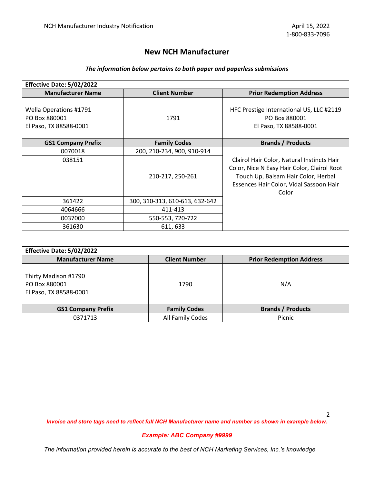# **New NCH Manufacturer**

# *The information below pertains to both paper and paperless submissions*

| Effective Date: 5/02/2022                                         |                                |                                                                                                                                                                                      |
|-------------------------------------------------------------------|--------------------------------|--------------------------------------------------------------------------------------------------------------------------------------------------------------------------------------|
| <b>Manufacturer Name</b>                                          | <b>Client Number</b>           | <b>Prior Redemption Address</b>                                                                                                                                                      |
| Wella Operations #1791<br>PO Box 880001<br>El Paso, TX 88588-0001 | 1791                           | HFC Prestige International US, LLC #2119<br>PO Box 880001<br>El Paso, TX 88588-0001                                                                                                  |
| <b>GS1 Company Prefix</b>                                         | <b>Family Codes</b>            | <b>Brands / Products</b>                                                                                                                                                             |
| 0070018                                                           | 200, 210-234, 900, 910-914     |                                                                                                                                                                                      |
| 038151                                                            | 210-217, 250-261               | Clairol Hair Color, Natural Instincts Hair<br>Color, Nice N Easy Hair Color, Clairol Root<br>Touch Up, Balsam Hair Color, Herbal<br>Essences Hair Color, Vidal Sassoon Hair<br>Color |
| 361422                                                            | 300, 310-313, 610-613, 632-642 |                                                                                                                                                                                      |
| 4064666                                                           | 411-413                        |                                                                                                                                                                                      |
| 0037000                                                           | 550-553, 720-722               |                                                                                                                                                                                      |
| 361630                                                            | 611, 633                       |                                                                                                                                                                                      |

| Effective Date: 5/02/2022                                       |                      |                                 |  |  |  |
|-----------------------------------------------------------------|----------------------|---------------------------------|--|--|--|
| <b>Manufacturer Name</b>                                        | <b>Client Number</b> | <b>Prior Redemption Address</b> |  |  |  |
| Thirty Madison #1790<br>PO Box 880001<br>El Paso, TX 88588-0001 | 1790                 | N/A                             |  |  |  |
| <b>GS1 Company Prefix</b>                                       | <b>Family Codes</b>  | <b>Brands / Products</b>        |  |  |  |
| 0371713                                                         | All Family Codes     | Picnic                          |  |  |  |

*Invoice and store tags need to reflect full NCH Manufacturer name and number as shown in example below.*

## *Example: ABC Company #9999*

*The information provided herein is accurate to the best of NCH Marketing Services, Inc.'s knowledge*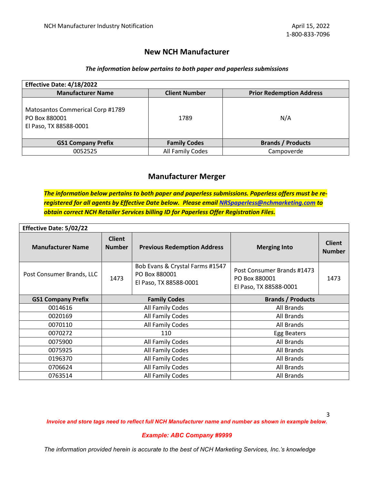## **New NCH Manufacturer**

## *The information below pertains to both paper and paperless submissions*

| Effective Date: 4/18/2022                                                   |                      |                                 |  |  |  |
|-----------------------------------------------------------------------------|----------------------|---------------------------------|--|--|--|
| <b>Manufacturer Name</b>                                                    | <b>Client Number</b> | <b>Prior Redemption Address</b> |  |  |  |
| Matosantos Commerical Corp #1789<br>PO Box 880001<br>El Paso, TX 88588-0001 | 1789                 | N/A                             |  |  |  |
| <b>GS1 Company Prefix</b>                                                   | <b>Family Codes</b>  | <b>Brands / Products</b>        |  |  |  |
| 0052525                                                                     | All Family Codes     | Campoverde                      |  |  |  |

# **Manufacturer Merger**

*The information below pertains to both paper and paperless submissions. Paperless offers must be reregistered for all agents by Effective Date below. Please email [NRSpaperless@nchmarketing.com](mailto:NRSpaperless@nchmarketing.com) to obtain correct NCH Retailer Services billing ID for Paperless Offer Registration Files.* 

| <b>Effective Date: 5/02/22</b> |                                |                                                                            |                                                                       |                                |
|--------------------------------|--------------------------------|----------------------------------------------------------------------------|-----------------------------------------------------------------------|--------------------------------|
| <b>Manufacturer Name</b>       | <b>Client</b><br><b>Number</b> | <b>Previous Redemption Address</b>                                         | <b>Merging Into</b>                                                   | <b>Client</b><br><b>Number</b> |
| Post Consumer Brands, LLC      | 1473                           | Bob Evans & Crystal Farms #1547<br>PO Box 880001<br>El Paso, TX 88588-0001 | Post Consumer Brands #1473<br>PO Box 880001<br>El Paso, TX 88588-0001 | 1473                           |
| <b>GS1 Company Prefix</b>      |                                | <b>Family Codes</b>                                                        | <b>Brands / Products</b>                                              |                                |
| 0014616                        |                                | All Family Codes                                                           | All Brands                                                            |                                |
| 0020169                        |                                | All Family Codes                                                           | All Brands                                                            |                                |
| 0070110                        |                                | All Family Codes                                                           | All Brands                                                            |                                |
| 0070272                        |                                | 110                                                                        | Egg Beaters                                                           |                                |
| 0075900                        |                                | All Family Codes                                                           | All Brands                                                            |                                |
| 0075925                        |                                | All Family Codes                                                           | All Brands                                                            |                                |
| 0196370                        |                                | All Family Codes                                                           | All Brands                                                            |                                |
| 0706624                        |                                | All Family Codes                                                           | All Brands                                                            |                                |
| 0763514                        |                                | All Family Codes                                                           | All Brands                                                            |                                |

*Invoice and store tags need to reflect full NCH Manufacturer name and number as shown in example below.*

#### *Example: ABC Company #9999*

*The information provided herein is accurate to the best of NCH Marketing Services, Inc.'s knowledge*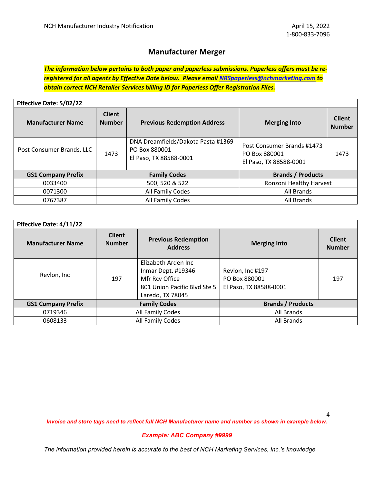# **Manufacturer Merger**

*The information below pertains to both paper and paperless submissions. Paperless offers must be reregistered for all agents by Effective Date below. Please email [NRSpaperless@nchmarketing.com](mailto:NRSpaperless@nchmarketing.com) to obtain correct NCH Retailer Services billing ID for Paperless Offer Registration Files.* 

| <b>Effective Date: 5/02/22</b> |                                |                                                                               |                                                                       |                                |  |  |
|--------------------------------|--------------------------------|-------------------------------------------------------------------------------|-----------------------------------------------------------------------|--------------------------------|--|--|
| <b>Manufacturer Name</b>       | <b>Client</b><br><b>Number</b> | <b>Previous Redemption Address</b>                                            | <b>Merging Into</b>                                                   | <b>Client</b><br><b>Number</b> |  |  |
| Post Consumer Brands, LLC      | 1473                           | DNA Dreamfields/Dakota Pasta #1369<br>PO Box 880001<br>El Paso, TX 88588-0001 | Post Consumer Brands #1473<br>PO Box 880001<br>El Paso, TX 88588-0001 | 1473                           |  |  |
| <b>GS1 Company Prefix</b>      |                                | <b>Family Codes</b>                                                           | <b>Brands / Products</b>                                              |                                |  |  |
| 0033400                        |                                | 500, 520 & 522                                                                | Ronzoni Healthy Harvest                                               |                                |  |  |
| 0071300                        |                                | All Family Codes                                                              | All Brands                                                            |                                |  |  |
| 0767387                        |                                | All Family Codes                                                              | All Brands                                                            |                                |  |  |

| <b>Effective Date: 4/11/22</b> |                                |                                                                                                                 |                                                             |                                |
|--------------------------------|--------------------------------|-----------------------------------------------------------------------------------------------------------------|-------------------------------------------------------------|--------------------------------|
| <b>Manufacturer Name</b>       | <b>Client</b><br><b>Number</b> | <b>Previous Redemption</b><br><b>Address</b>                                                                    | <b>Merging Into</b>                                         | <b>Client</b><br><b>Number</b> |
| Revlon, Inc                    | 197                            | Elizabeth Arden Inc<br>Inmar Dept. #19346<br>Mfr Rcy Office<br>801 Union Pacific Blyd Ste 5<br>Laredo, TX 78045 | Revlon, Inc #197<br>PO Box 880001<br>El Paso, TX 88588-0001 | 197                            |
| <b>GS1 Company Prefix</b>      | <b>Family Codes</b>            |                                                                                                                 | <b>Brands / Products</b>                                    |                                |
| 0719346                        |                                | All Family Codes                                                                                                | All Brands                                                  |                                |
| 0608133                        |                                | All Family Codes                                                                                                | All Brands                                                  |                                |

*Invoice and store tags need to reflect full NCH Manufacturer name and number as shown in example below.*

#### *Example: ABC Company #9999*

*The information provided herein is accurate to the best of NCH Marketing Services, Inc.'s knowledge*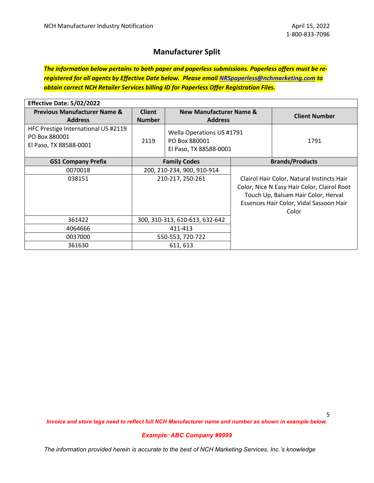# **Manufacturer Split**

*The information below pertains to both paper and paperless submissions. Paperless offers must be reregistered for all agents by Effective Date below. Please email [NRSpaperless@nchmarketing.com](mailto:NRSpaperless@nchmarketing.com) to obtain correct NCH Retailer Services billing ID for Paperless Offer Registration Files.* 

| Effective Date: 5/02/2022                                                      |                                |                                                                      |                                                                                                                                                                                      |
|--------------------------------------------------------------------------------|--------------------------------|----------------------------------------------------------------------|--------------------------------------------------------------------------------------------------------------------------------------------------------------------------------------|
| <b>Previous Manufacturer Name &amp;</b><br><b>Address</b>                      | <b>Client</b><br><b>Number</b> | <b>New Manufacturer Name &amp;</b><br><b>Address</b>                 | <b>Client Number</b>                                                                                                                                                                 |
| HFC Prestige International US #2119<br>PO Box 880001<br>El Paso, TX 88588-0001 | 2119                           | Wella Operations US #1791<br>PO Box 880001<br>El Paso, TX 88588-0001 | 1791                                                                                                                                                                                 |
| <b>GS1 Company Prefix</b>                                                      | <b>Family Codes</b>            |                                                                      | <b>Brands/Products</b>                                                                                                                                                               |
| 0070018                                                                        | 200, 210-234, 900, 910-914     |                                                                      |                                                                                                                                                                                      |
| 038151                                                                         |                                | 210-217, 250-261                                                     | Clairol Hair Color, Natural Instincts Hair<br>Color, Nice N Easy Hair Color, Clairol Root<br>Touch Up, Balsam Hair Color, Herval<br>Essences Hair Color, Vidal Sassoon Hair<br>Color |
| 361422                                                                         |                                | 300, 310-313, 610-613, 632-642                                       |                                                                                                                                                                                      |
| 4064666                                                                        | 411-413                        |                                                                      |                                                                                                                                                                                      |
| 0037000                                                                        |                                | 550-553, 720-722                                                     |                                                                                                                                                                                      |
| 361630                                                                         |                                | 611, 613                                                             |                                                                                                                                                                                      |

5

*Invoice and store tags need to reflect full NCH Manufacturer name and number as shown in example below.*

#### *Example: ABC Company #9999*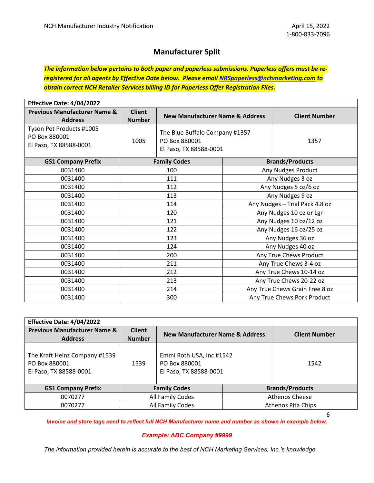# **Manufacturer Split**

*The information below pertains to both paper and paperless submissions. Paperless offers must be reregistered for all agents by Effective Date below. Please email [NRSpaperless@nchmarketing.com](mailto:NRSpaperless@nchmarketing.com) to obtain correct NCH Retailer Services billing ID for Paperless Offer Registration Files.* 

| Effective Date: 4/04/2022                                           |                                |                                                                           |                 |                                |  |
|---------------------------------------------------------------------|--------------------------------|---------------------------------------------------------------------------|-----------------|--------------------------------|--|
| <b>Previous Manufacturer Name &amp;</b><br><b>Address</b>           | <b>Client</b><br><b>Number</b> | <b>New Manufacturer Name &amp; Address</b>                                |                 | <b>Client Number</b>           |  |
| Tyson Pet Products #1005<br>PO Box 880001<br>El Paso, TX 88588-0001 | 1005                           | The Blue Buffalo Company #1357<br>PO Box 880001<br>El Paso, TX 88588-0001 |                 | 1357                           |  |
| <b>GS1 Company Prefix</b>                                           |                                | <b>Family Codes</b>                                                       |                 | <b>Brands/Products</b>         |  |
| 0031400                                                             |                                | 100                                                                       |                 | Any Nudges Product             |  |
| 0031400                                                             |                                | 111                                                                       |                 | Any Nudges 3 oz                |  |
| 0031400                                                             |                                | 112                                                                       |                 | Any Nudges 5 oz/6 oz           |  |
| 0031400                                                             | 113                            |                                                                           | Any Nudges 9 oz |                                |  |
| 0031400                                                             | 114                            |                                                                           |                 | Any Nudges - Trial Pack 4.8 oz |  |
| 0031400                                                             | 120                            |                                                                           |                 | Any Nudges 10 oz or Lgr        |  |
| 0031400                                                             | 121                            |                                                                           |                 | Any Nudges 10 oz/12 oz         |  |
| 0031400                                                             | 122                            |                                                                           |                 | Any Nudges 16 oz/25 oz         |  |
| 0031400                                                             |                                | 123                                                                       |                 | Any Nudges 36 oz               |  |
| 0031400                                                             |                                | 124                                                                       |                 | Any Nudges 40 oz               |  |
| 0031400                                                             | 200                            |                                                                           |                 | Any True Chews Product         |  |
| 0031400                                                             | 211                            |                                                                           |                 | Any True Chews 3-4 oz          |  |
| 0031400                                                             | 212                            |                                                                           |                 | Any True Chews 10-14 oz        |  |
| 0031400                                                             | 213                            |                                                                           |                 | Any True Chews 20-22 oz        |  |
| 0031400                                                             |                                | 214                                                                       |                 | Any True Chews Grain Free 8 oz |  |
| 0031400                                                             |                                | 300                                                                       |                 | Any True Chews Pork Product    |  |

| Effective Date: 4/04/2022                                                |                                |                                                                     |                        |                       |
|--------------------------------------------------------------------------|--------------------------------|---------------------------------------------------------------------|------------------------|-----------------------|
| <b>Previous Manufacturer Name &amp;</b><br><b>Address</b>                | <b>Client</b><br><b>Number</b> | New Manufacturer Name & Address                                     | <b>Client Number</b>   |                       |
| The Kraft Heinz Company #1539<br>PO Box 880001<br>El Paso, TX 88588-0001 | 1539                           | Emmi Roth USA, Inc #1542<br>PO Box 880001<br>El Paso, TX 88588-0001 |                        | 1542                  |
| <b>GS1 Company Prefix</b>                                                | <b>Family Codes</b>            |                                                                     | <b>Brands/Products</b> |                       |
| 0070277                                                                  | All Family Codes               |                                                                     |                        | <b>Athenos Cheese</b> |
| 0070277                                                                  | All Family Codes               |                                                                     |                        | Athenos Pita Chips    |

6

*Invoice and store tags need to reflect full NCH Manufacturer name and number as shown in example below.*

#### *Example: ABC Company #9999*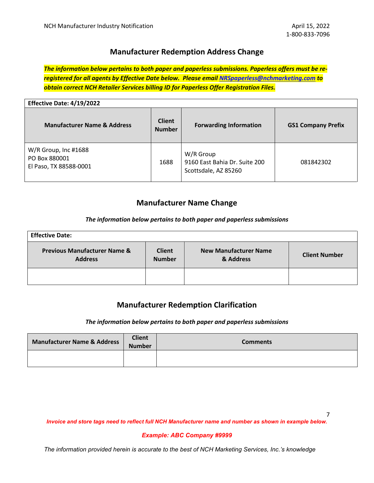# **Manufacturer Redemption Address Change**

*The information below pertains to both paper and paperless submissions. Paperless offers must be reregistered for all agents by Effective Date below. Please email [NRSpaperless@nchmarketing.com](mailto:NRSpaperless@nchmarketing.com) to obtain correct NCH Retailer Services billing ID for Paperless Offer Registration Files.* 

| Effective Date: 4/19/2022                                       |                                |                                                                    |                           |  |
|-----------------------------------------------------------------|--------------------------------|--------------------------------------------------------------------|---------------------------|--|
| <b>Manufacturer Name &amp; Address</b>                          | <b>Client</b><br><b>Number</b> | <b>Forwarding Information</b>                                      | <b>GS1 Company Prefix</b> |  |
| W/R Group, Inc #1688<br>PO Box 880001<br>El Paso, TX 88588-0001 | 1688                           | W/R Group<br>9160 East Bahia Dr. Suite 200<br>Scottsdale, AZ 85260 | 081842302                 |  |

# **Manufacturer Name Change**

## *The information below pertains to both paper and paperless submissions*

| <b>Effective Date:</b>                                    |                                |                                           |                      |  |  |
|-----------------------------------------------------------|--------------------------------|-------------------------------------------|----------------------|--|--|
| <b>Previous Manufacturer Name &amp;</b><br><b>Address</b> | <b>Client</b><br><b>Number</b> | <b>New Manufacturer Name</b><br>& Address | <b>Client Number</b> |  |  |
|                                                           |                                |                                           |                      |  |  |

## **Manufacturer Redemption Clarification**

#### *The information below pertains to both paper and paperless submissions*

| <b>Manufacturer Name &amp; Address</b> | <b>Client</b><br><b>Number</b> | <b>Comments</b> |
|----------------------------------------|--------------------------------|-----------------|
|                                        |                                |                 |

*Invoice and store tags need to reflect full NCH Manufacturer name and number as shown in example below.*

#### *Example: ABC Company #9999*

*The information provided herein is accurate to the best of NCH Marketing Services, Inc.'s knowledge*